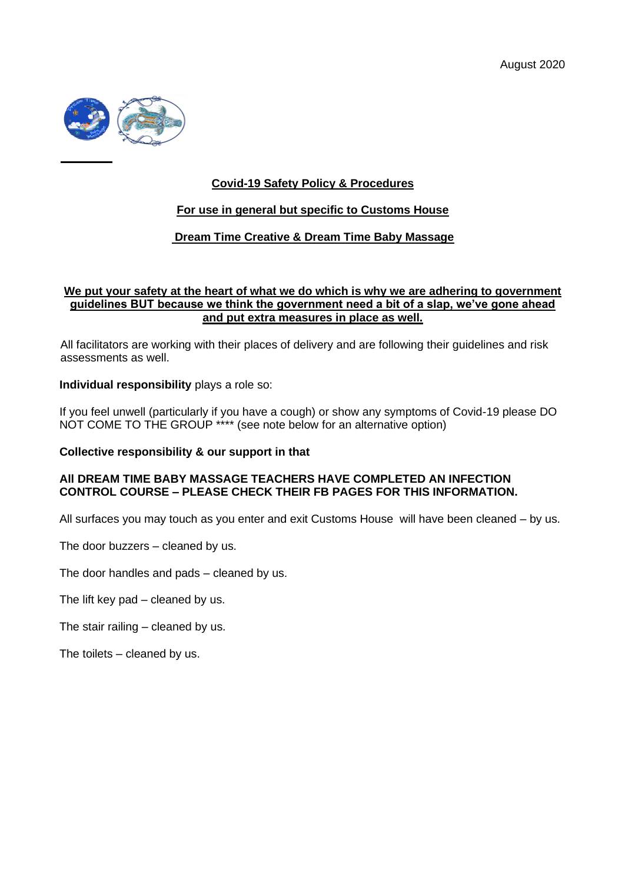

# **Covid-19 Safety Policy & Procedures**

### **For use in general but specific to Customs House**

## **Dream Time Creative & Dream Time Baby Massage**

### **We put your safety at the heart of what we do which is why we are adhering to government guidelines BUT because we think the government need a bit of a slap, we've gone ahead and put extra measures in place as well.**

All facilitators are working with their places of delivery and are following their guidelines and risk assessments as well.

**Individual responsibility** plays a role so:

If you feel unwell (particularly if you have a cough) or show any symptoms of Covid-19 please DO NOT COME TO THE GROUP \*\*\*\* (see note below for an alternative option)

### **Collective responsibility & our support in that**

### **All DREAM TIME BABY MASSAGE TEACHERS HAVE COMPLETED AN INFECTION CONTROL COURSE – PLEASE CHECK THEIR FB PAGES FOR THIS INFORMATION.**

All surfaces you may touch as you enter and exit Customs House will have been cleaned – by us.

The door buzzers – cleaned by us.

The door handles and pads – cleaned by us.

The lift key pad – cleaned by us.

The stair railing – cleaned by us.

The toilets – cleaned by us.